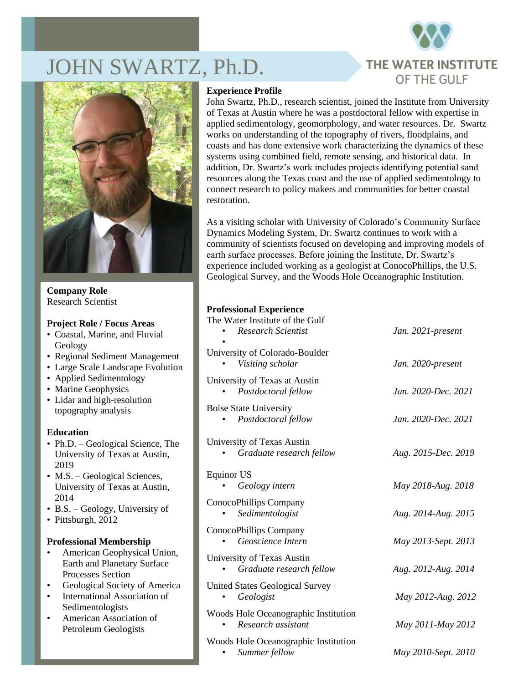

# DHN SWARTZ, Ph.D.



**Company Role** Research Scientist

#### **Project Role / Focus Areas**

- Coastal, Marine, and Fluvial Geology
- Regional Sediment Management
- Large Scale Landscape Evolution
- Applied Sedimentology
- Marine Geophysics
- Lidar and high-resolution topography analysis

# **Education**

- Ph.D. Geological Science, The University of Texas at Austin, 2019
- M.S. Geological Sciences, University of Texas at Austin, 2014
- B.S. Geology, University of
- Pittsburgh, 2012

# **Professional Membership**

- American Geophysical Union, Earth and Planetary Surface Processes Section
- Geological Society of America
- International Association of Sedimentologists
- American Association of Petroleum Geologists

# **Experience Profile**

John Swartz, Ph.D., research scientist, joined the Institute from University of Texas at Austin where he was a postdoctoral fellow with expertise in applied sedimentology, geomorphology, and water resources. Dr. Swartz works on understanding of the topography of rivers, floodplains, and coasts and has done extensive work characterizing the dynamics of these systems using combined field, remote sensing, and historical data. In addition, Dr. Swartz's work includes projects identifying potential sand resources along the Texas coast and the use of applied sedimentology to connect research to policy makers and communities for better coastal restoration.

As a visiting scholar with University of Colorado's Community Surface Dynamics Modeling System, Dr. Swartz continues to work with a community of scientists focused on developing and improving models of earth surface processes. Before joining the Institute, Dr. Swartz's experience included working as a geologist at ConocoPhillips, the U.S. Geological Survey, and the Woods Hole Oceanographic Institution.

#### **Professional Experience**

| The Water Institute of the Gulf<br><b>Research Scientist</b> | Jan. 2021-present   |
|--------------------------------------------------------------|---------------------|
| University of Colorado-Boulder<br>Visiting scholar           | Jan. 2020-present   |
| University of Texas at Austin<br>Postdoctoral fellow         | Jan. 2020-Dec. 2021 |
| <b>Boise State University</b><br>Postdoctoral fellow         | Jan. 2020-Dec. 2021 |
| University of Texas Austin<br>Graduate research fellow       | Aug. 2015-Dec. 2019 |
| <b>Equinor US</b><br>Geology intern                          | May 2018-Aug. 2018  |
| ConocoPhillips Company<br>Sedimentologist                    | Aug. 2014-Aug. 2015 |
| ConocoPhillips Company<br>Geoscience Intern                  | May 2013-Sept. 2013 |
| University of Texas Austin<br>Graduate research fellow       | Aug. 2012-Aug. 2014 |
| <b>United States Geological Survey</b><br>Geologist          | May 2012-Aug. 2012  |
| Woods Hole Oceanographic Institution<br>Research assistant   | May 2011-May 2012   |
| Woods Hole Oceanographic Institution<br>Summer fellow        | May 2010-Sept. 2010 |